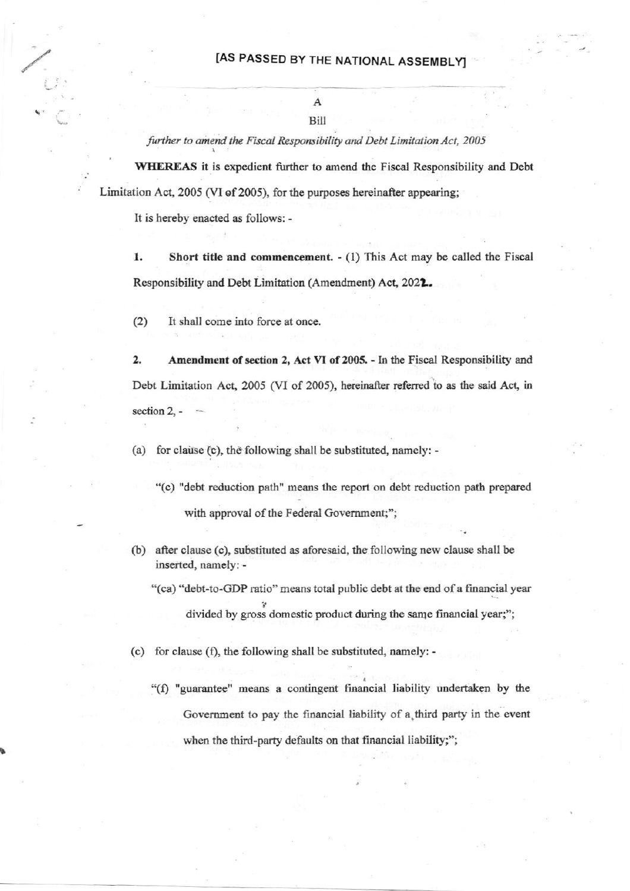further to amend the Fiscal Responsibility and Debt Limitation Act, 2005

WHEREAS it is expedient further to amend the Fiscal Responsibility and Debt Limitation Act, 2005 (VI of 2005), for the purposes hereinafter appearing;

It is hereby enacted as follows: -

1. Short title and commencement. - (1) This Act may be called the Fiscal Responsibility and Debt Limitation (Amendment) Act, 2022.

 $(2)$ It shall come into force at once.

2. Amendment of section 2, Act VI of 2005. - In the Fiscal Responsibility and Debt Limitation Act, 2005 (VI of 2005), hereinafter referred to as the said Act, in section  $2$ , -

(a) for clause (c), the following shall be substituted, namely: -

- "(c) "debt reduction path" means the report on debt reduction path prepared with approval of the Federal Government;";
- (b) after clause (c), substituted as aforesaid, the following new clause shall be inserted, namely: -
	- "(ca) "debt-to-GDP ratio" means total public debt at the end of a financial year divided by gross domestic product during the same financial year;";
- (c) for clause (f), the following shall be substituted, namely: -
	- "(f) "guarantee" means a contingent financial liability undertaken by the Government to pay the financial liability of a third party in the event when the third-party defaults on that financial liability;";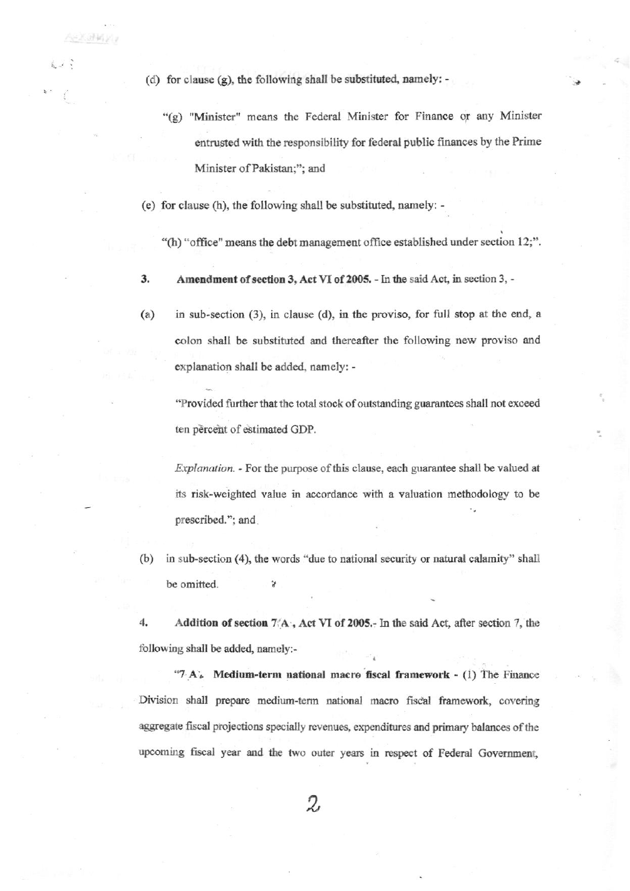(d) for clause (g), the following shall be substituted, namely: -

 $-2.36\%$ 

- "(g) "Minister" means the Federal Minister for Finance or any Minister entrusted with the responsibility for federal public finances by the Prime Minister of Pakistan;"; and
- (e) for clause (h), the following shall be substituted, namely: -
	- "(h) "office" means the debt management office established under section 12;".
- 3. Amendment of section 3, Act VI of 2005. - In the said Act, in section 3, -
- $(a)$ in sub-section (3), in clause (d), in the proviso, for full stop at the end, a colon shall be substituted and thereafter the following new proviso and explanation shall be added, namely: -

"Provided further that the total stock of outstanding guarantees shall not exceed ten percent of estimated GDP.

Explanation. - For the purpose of this clause, each guarantee shall be valued at its risk-weighted value in accordance with a valuation methodology to be prescribed."; and

 $(b)$ in sub-section (4), the words "due to national security or natural calamity" shall be omitted. ¥

4. Addition of section 7/A, Act VI of 2005. In the said Act, after section 7, the following shall be added, namely:-

" $7 A<sub>o</sub>$  Medium-term national macro fiscal framework - (1) The Finance Division shall prepare medium-term national macro fiscal framework, covering aggregate fiscal projections specially revenues, expenditures and primary balances of the upcoming fiscal year and the two outer years in respect of Federal Government,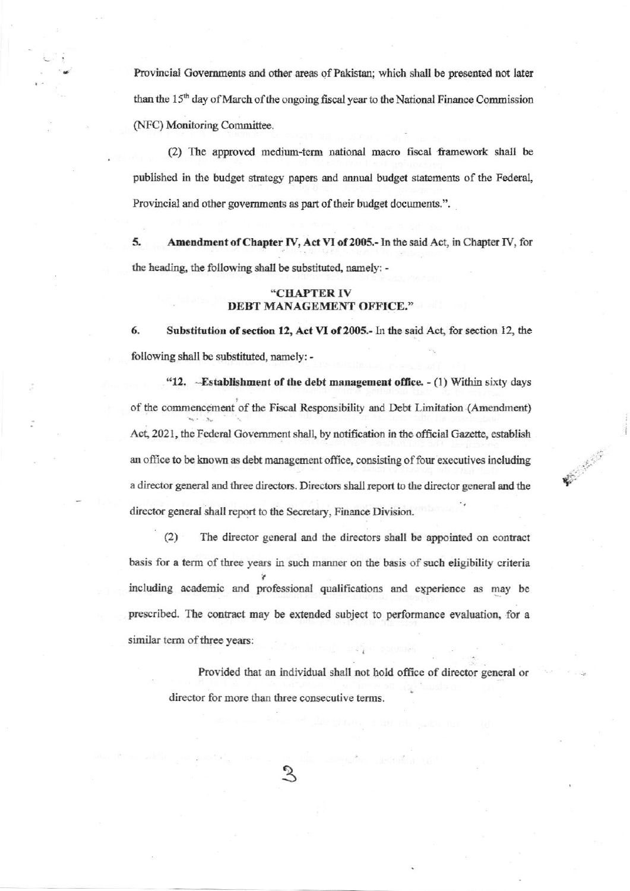Provincial Governments and other areas of Pakistan; which shall be presented not later than the 15<sup>th</sup> day of March of the ongoing fiscal year to the National Finance Commission (NFC) Monitoring Committee.

(2) The approved medium-term national macro fiscal framework shall be published in the budget strategy papers and annual budget statements of the Federal, Provincial and other governments as part of their budget documents.".

5. Amendment of Chapter IV, Act VI of 2005.- In the said Act, in Chapter IV, for the heading, the following shall be substituted, namely: -

## "CHAPTER IV DEBT MANAGEMENT OFFICE."

6. Substitution of section 12, Act VI of 2005.- In the said Act, for section 12, the following shall be substituted, namely: -

"12. -Establishment of the debt management office. - (1) Within sixty days of the commencement of the Fiscal Responsibility and Debt Limitation (Amendment) Act, 2021, the Federal Government shall, by notification in the official Gazette, establish an office to be known as debt management office, consisting of four executives including a director general and three directors. Directors shall report to the director general and the director general shall report to the Secretary, Finance Division.

W. Marie B.

 $(2)$ The director general and the directors shall be appointed on contract basis for a term of three years in such manner on the basis of such eligibility criteria including academic and professional qualifications and experience as may be prescribed. The contract may be extended subject to performance evaluation, for a similar term of three years:

Provided that an individual shall not hold office of director general or director for more than three consecutive terms.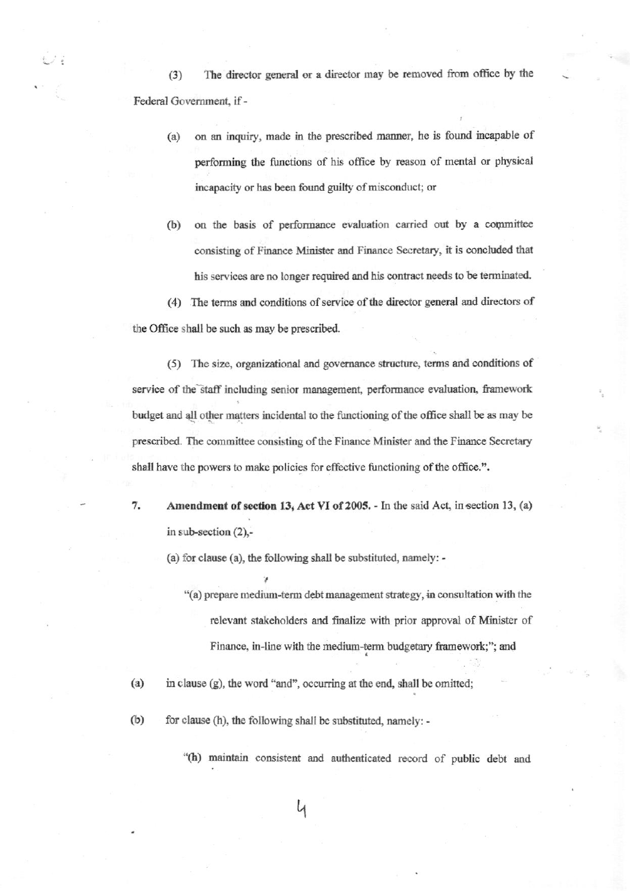The director general or a director may be removed from office by the  $(3)$ Federal Government, if -

- on an inquiry, made in the prescribed manner, he is found incapable of  $(a)$ performing the functions of his office by reason of mental or physical incapacity or has been found guilty of misconduct; or
- $(b)$ on the basis of performance evaluation carried out by a committee consisting of Finance Minister and Finance Secretary, it is concluded that his services are no longer required and his contract needs to be terminated.

(4) The terms and conditions of service of the director general and directors of the Office shall be such as may be prescribed.

(5) The size, organizational and governance structure, terms and conditions of service of the staff including senior management, performance evaluation, framework budget and all other matters incidental to the functioning of the office shall be as may be prescribed. The committee consisting of the Finance Minister and the Finance Secretary shall have the powers to make policies for effective functioning of the office.".

Amendment of section 13, Act VI of 2005. - In the said Act, in section 13, (a) 7. in sub-section  $(2)$ ,-

(a) for clause (a), the following shall be substituted, namely: -

"(a) prepare medium-term debt management strategy, in consultation with the relevant stakeholders and finalize with prior approval of Minister of Finance, in-line with the medium-term budgetary framework;"; and

 $(a)$ in clause (g), the word "and", occurring at the end, shall be omitted;

 $(b)$ for clause (h), the following shall be substituted, namely: -

"(h) maintain consistent and authenticated record of public debt and

4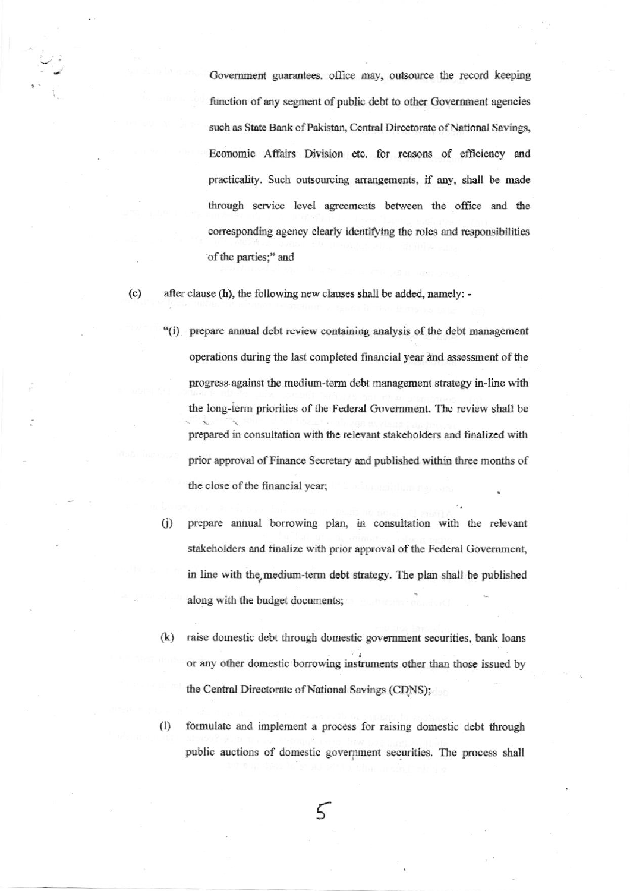Government guarantees. office may, outsource the record keeping function of any segment of public debt to other Government agencies such as State Bank of Pakistan, Central Directorate of National Savings, Economic Affairs Division etc. for reasons of efficiency and practicality. Such outsourcing arrangements, if any, shall be made through service level agreements between the office and the corresponding agency clearly identifying the roles and responsibilities of the parties;" and

 $(c)$ after clause (h), the following new clauses shall be added, namely: -

- "(i) prepare annual debt review containing analysis of the debt management operations during the last completed financial year and assessment of the progress against the medium-term debt management strategy in-line with the long-term priorities of the Federal Government. The review shall be prepared in consultation with the relevant stakeholders and finalized with prior approval of Finance Secretary and published within three months of the close of the financial year;
- prepare annual borrowing plan, in consultation with the relevant  $(i)$ stakeholders and finalize with prior approval of the Federal Government, in line with the medium-term debt strategy. The plan shall be published along with the budget documents;
- $(k)$ raise domestic debt through domestic government securities, bank loans or any other domestic borrowing instruments other than those issued by the Central Directorate of National Savings (CDNS);
- $(1)$ formulate and implement a process for raising domestic debt through public auctions of domestic government securities. The process shall

5